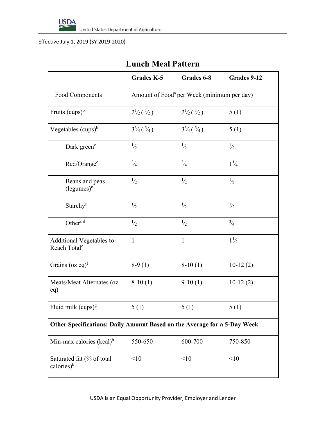

Effective July 1, 2019 (SY 2019-2020)

## **Lunch Meal Pattern**

|                                                                          | <b>Grades K-5</b>                                      | Grades 6-8                       | Grades 9-12    |  |
|--------------------------------------------------------------------------|--------------------------------------------------------|----------------------------------|----------------|--|
| Food Components                                                          | Amount of Food <sup>a</sup> per Week (minimum per day) |                                  |                |  |
| Fruits $(cups)^b$                                                        | $2\frac{1}{2}(\frac{1}{2})$                            | $2\frac{1}{2}(\frac{1}{2})$      | 5(1)           |  |
| Vegetables $(cups)^{b}$                                                  | $3\frac{3}{4}$ ( $\frac{3}{4}$ )                       | $3\frac{3}{4}$ ( $\frac{3}{4}$ ) | 5(1)           |  |
| Dark green <sup>c</sup>                                                  | $\frac{1}{2}$                                          | $\frac{1}{2}$                    | $\frac{1}{2}$  |  |
| Red/Orange <sup>c</sup>                                                  | $\frac{3}{4}$                                          | $\frac{3}{4}$                    | $1\frac{1}{4}$ |  |
| Beans and peas<br>$(legumes)^c$                                          | $\frac{1}{2}$                                          | $\frac{1}{2}$                    | $\frac{1}{2}$  |  |
| Starchy <sup>c</sup>                                                     | $\frac{1}{2}$                                          | $\frac{1}{2}$                    | $\frac{1}{2}$  |  |
| Other <sup>c d</sup>                                                     | $\frac{1}{2}$                                          | $\frac{1}{2}$                    | $\frac{3}{4}$  |  |
| <b>Additional Vegetables to</b><br>Reach Total <sup>e</sup>              | $\mathbf{1}$                                           | $\mathbf{1}$                     | $1\frac{1}{2}$ |  |
| Grains (oz eq) $f$                                                       | $8-9(1)$                                               | $8-10(1)$                        | $10-12(2)$     |  |
| Meats/Meat Alternates (oz<br>eq)                                         | $8-10(1)$                                              | $9-10(1)$                        | $10-12(2)$     |  |
| Fluid milk $(cups)^g$                                                    | 5(1)                                                   | 5(1)                             | 5(1)           |  |
| Other Specifications: Daily Amount Based on the Average for a 5-Day Week |                                                        |                                  |                |  |
| Min-max calories $(kcal)^h$                                              | 550-650                                                | 600-700                          | 750-850        |  |
| Saturated fat (% of total<br>calories) <sup>h</sup>                      | <10                                                    | <10                              | <10            |  |